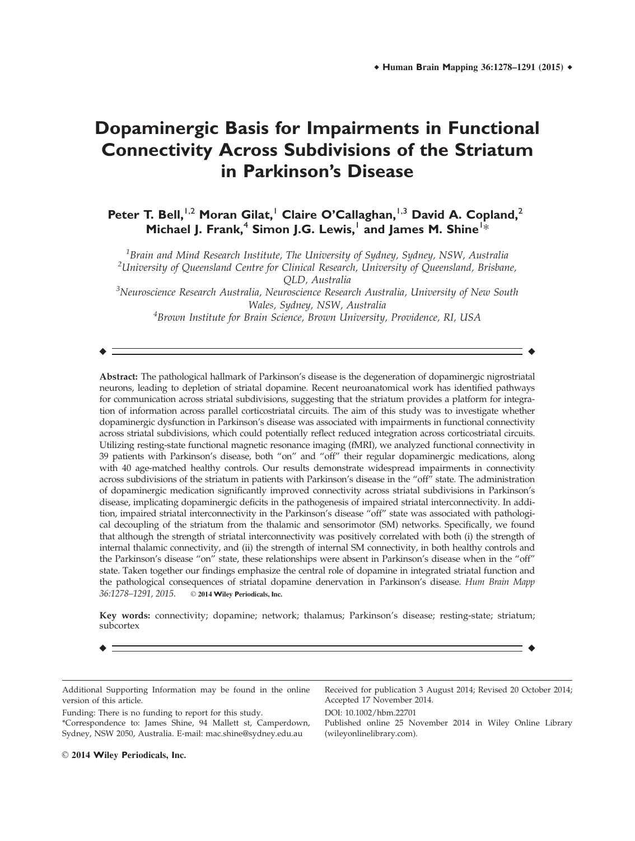# **Dopaminergic Basis for Impairments in Functional Connectivity Across Subdivisions of the Striatum in Parkinson's Disease**

# **Peter T. Bell,**1,2 **Moran Gilat,**<sup>1</sup> **Claire O'Callaghan,**1,3 **David A. Copland,**<sup>2</sup> **Michael J. Frank,<sup>4</sup> Simon J.G. Lewis,<sup>1</sup> and James M. Shine<sup>1</sup>\***

 $^{\rm 1}$ Brain and Mind Research Institute, The University of Sydney, Sydney, NSW, Australia  $^2$ University of Queensland Centre for Clinical Research, University of Queensland, Brisbane, QLD, Australia

 $^3$ Neuroscience Research Australia, Neuroscience Research Australia, University of New South Wales, Sydney, NSW, Australia

4 Brown Institute for Brain Science, Brown University, Providence, RI, USA

r r

Abstract: The pathological hallmark of Parkinson's disease is the degeneration of dopaminergic nigrostriatal neurons, leading to depletion of striatal dopamine. Recent neuroanatomical work has identified pathways for communication across striatal subdivisions, suggesting that the striatum provides a platform for integration of information across parallel corticostriatal circuits. The aim of this study was to investigate whether dopaminergic dysfunction in Parkinson's disease was associated with impairments in functional connectivity across striatal subdivisions, which could potentially reflect reduced integration across corticostriatal circuits. Utilizing resting-state functional magnetic resonance imaging (fMRI), we analyzed functional connectivity in 39 patients with Parkinson's disease, both "on" and "off" their regular dopaminergic medications, along with 40 age-matched healthy controls. Our results demonstrate widespread impairments in connectivity across subdivisions of the striatum in patients with Parkinson's disease in the "off" state. The administration of dopaminergic medication significantly improved connectivity across striatal subdivisions in Parkinson's disease, implicating dopaminergic deficits in the pathogenesis of impaired striatal interconnectivity. In addition, impaired striatal interconnectivity in the Parkinson's disease "off" state was associated with pathological decoupling of the striatum from the thalamic and sensorimotor (SM) networks. Specifically, we found that although the strength of striatal interconnectivity was positively correlated with both (i) the strength of internal thalamic connectivity, and (ii) the strength of internal SM connectivity, in both healthy controls and the Parkinson's disease "on" state, these relationships were absent in Parkinson's disease when in the "off" state. Taken together our findings emphasize the central role of dopamine in integrated striatal function and the pathological consequences of striatal dopamine denervation in Parkinson's disease. Hum Brain Mapp 36:1278–1291, 2015. <sup>V</sup><sup>C</sup> 2014 **W**iley **P**eriodicals, **I**nc.

Key words: connectivity; dopamine; network; thalamus; Parkinson's disease; resting-state; striatum; subcortex

r r

Additional Supporting Information may be found in the online version of this article.

Funding: There is no funding to report for this study. \*Correspondence to: James Shine, 94 Mallett st, Camperdown, Sydney, NSW 2050, Australia. E-mail: mac.shine@sydney.edu.au

Received for publication 3 August 2014; Revised 20 October 2014; Accepted 17 November 2014.

DOI: 10.1002/hbm.22701

Published online 25 November 2014 in Wiley Online Library (wileyonlinelibrary.com).

 $\odot$  2014 Wiley Periodicals, Inc.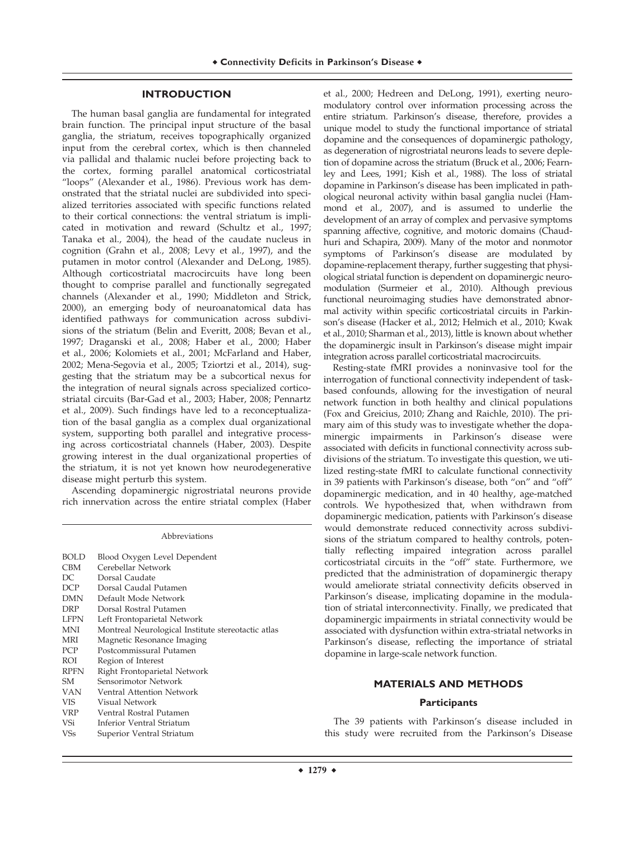#### **INTRODUCTION**

The human basal ganglia are fundamental for integrated brain function. The principal input structure of the basal ganglia, the striatum, receives topographically organized input from the cerebral cortex, which is then channeled via pallidal and thalamic nuclei before projecting back to the cortex, forming parallel anatomical corticostriatal "loops" (Alexander et al., 1986). Previous work has demonstrated that the striatal nuclei are subdivided into specialized territories associated with specific functions related to their cortical connections: the ventral striatum is implicated in motivation and reward (Schultz et al., 1997; Tanaka et al., 2004), the head of the caudate nucleus in cognition (Grahn et al., 2008; Levy et al., 1997), and the putamen in motor control (Alexander and DeLong, 1985). Although corticostriatal macrocircuits have long been thought to comprise parallel and functionally segregated channels (Alexander et al., 1990; Middleton and Strick, 2000), an emerging body of neuroanatomical data has identified pathways for communication across subdivisions of the striatum (Belin and Everitt, 2008; Bevan et al., 1997; Draganski et al., 2008; Haber et al., 2000; Haber et al., 2006; Kolomiets et al., 2001; McFarland and Haber, 2002; Mena-Segovia et al., 2005; Tziortzi et al., 2014), suggesting that the striatum may be a subcortical nexus for the integration of neural signals across specialized corticostriatal circuits (Bar-Gad et al., 2003; Haber, 2008; Pennartz et al., 2009). Such findings have led to a reconceptualization of the basal ganglia as a complex dual organizational system, supporting both parallel and integrative processing across corticostriatal channels (Haber, 2003). Despite growing interest in the dual organizational properties of the striatum, it is not yet known how neurodegenerative disease might perturb this system.

Ascending dopaminergic nigrostriatal neurons provide rich innervation across the entire striatal complex (Haber

#### Abbreviations

| BOLD.       | Blood Oxygen Level Dependent                       |  |
|-------------|----------------------------------------------------|--|
| <b>CBM</b>  | Cerebellar Network                                 |  |
| DC.         | Dorsal Caudate                                     |  |
| DCP         | Dorsal Caudal Putamen                              |  |
| <b>DMN</b>  | Default Mode Network                               |  |
| DRP         | Dorsal Rostral Putamen                             |  |
| <b>LFPN</b> | Left Frontoparietal Network                        |  |
| MNI         | Montreal Neurological Institute stereotactic atlas |  |
| <b>MRI</b>  | Magnetic Resonance Imaging                         |  |
| <b>PCP</b>  | Postcommissural Putamen                            |  |
| <b>ROI</b>  | Region of Interest                                 |  |
| <b>RPFN</b> | Right Frontoparietal Network                       |  |
| SM.         | Sensorimotor Network                               |  |
| <b>VAN</b>  | Ventral Attention Network                          |  |
| <b>VIS</b>  | Visual Network                                     |  |
| <b>VRP</b>  | Ventral Rostral Putamen                            |  |
| <b>VSi</b>  | Inferior Ventral Striatum                          |  |
| <b>VSs</b>  | Superior Ventral Striatum                          |  |
|             |                                                    |  |

et al., 2000; Hedreen and DeLong, 1991), exerting neuromodulatory control over information processing across the entire striatum. Parkinson's disease, therefore, provides a unique model to study the functional importance of striatal dopamine and the consequences of dopaminergic pathology, as degeneration of nigrostriatal neurons leads to severe depletion of dopamine across the striatum (Bruck et al., 2006; Fearnley and Lees, 1991; Kish et al., 1988). The loss of striatal dopamine in Parkinson's disease has been implicated in pathological neuronal activity within basal ganglia nuclei (Hammond et al., 2007), and is assumed to underlie the development of an array of complex and pervasive symptoms spanning affective, cognitive, and motoric domains (Chaudhuri and Schapira, 2009). Many of the motor and nonmotor symptoms of Parkinson's disease are modulated by dopamine-replacement therapy, further suggesting that physiological striatal function is dependent on dopaminergic neuromodulation (Surmeier et al., 2010). Although previous functional neuroimaging studies have demonstrated abnormal activity within specific corticostriatal circuits in Parkinson's disease (Hacker et al., 2012; Helmich et al., 2010; Kwak et al., 2010; Sharman et al., 2013), little is known about whether the dopaminergic insult in Parkinson's disease might impair integration across parallel corticostriatal macrocircuits.

Resting-state fMRI provides a noninvasive tool for the interrogation of functional connectivity independent of taskbased confounds, allowing for the investigation of neural network function in both healthy and clinical populations (Fox and Greicius, 2010; Zhang and Raichle, 2010). The primary aim of this study was to investigate whether the dopaminergic impairments in Parkinson's disease were associated with deficits in functional connectivity across subdivisions of the striatum. To investigate this question, we utilized resting-state fMRI to calculate functional connectivity in 39 patients with Parkinson's disease, both "on" and "off" dopaminergic medication, and in 40 healthy, age-matched controls. We hypothesized that, when withdrawn from dopaminergic medication, patients with Parkinson's disease would demonstrate reduced connectivity across subdivisions of the striatum compared to healthy controls, potentially reflecting impaired integration across parallel corticostriatal circuits in the "off" state. Furthermore, we predicted that the administration of dopaminergic therapy would ameliorate striatal connectivity deficits observed in Parkinson's disease, implicating dopamine in the modulation of striatal interconnectivity. Finally, we predicated that dopaminergic impairments in striatal connectivity would be associated with dysfunction within extra-striatal networks in Parkinson's disease, reflecting the importance of striatal dopamine in large-scale network function.

#### **MATERIALS AND METHODS**

#### **Participants**

The 39 patients with Parkinson's disease included in this study were recruited from the Parkinson's Disease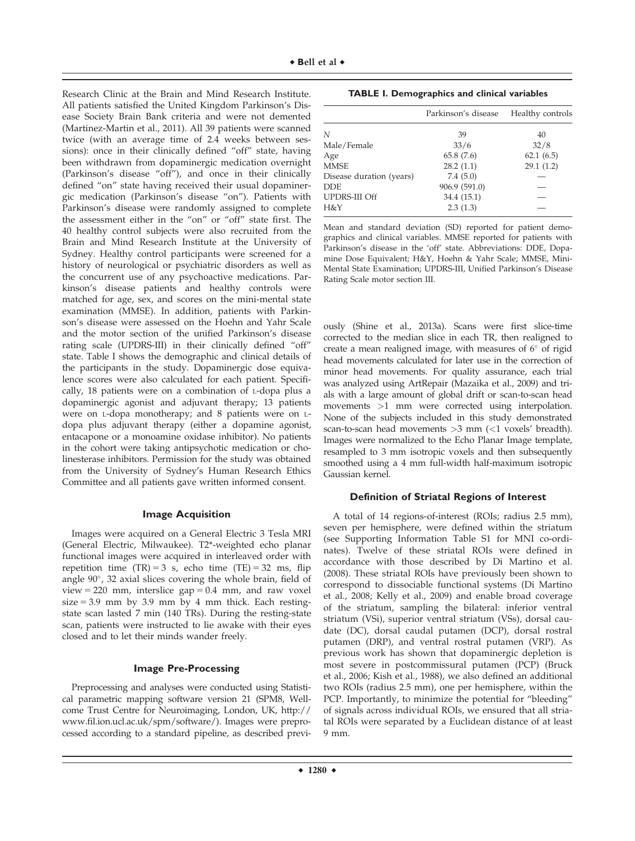Research Clinic at the Brain and Mind Research Institute. All patients satisfied the United Kingdom Parkinson's Disease Society Brain Bank criteria and were not demented (Martinez-Martin et al., 2011). All 39 patients were scanned twice (with an average time of 2.4 weeks between sessions): once in their clinically defined "off" state, having been withdrawn from dopaminergic medication overnight (Parkinson's disease "off"), and once in their clinically defined "on" state having received their usual dopaminergic medication (Parkinson's disease "on"). Patients with Parkinson's disease were randomly assigned to complete the assessment either in the "on" or "off" state first. The 40 healthy control subjects were also recruited from the Brain and Mind Research Institute at the University of Sydney. Healthy control participants were screened for a history of neurological or psychiatric disorders as well as the concurrent use of any psychoactive medications. Parkinson's disease patients and healthy controls were matched for age, sex, and scores on the mini-mental state examination (MMSE). In addition, patients with Parkinson's disease were assessed on the Hoehn and Yahr Scale and the motor section of the unified Parkinson's disease rating scale (UPDRS-III) in their clinically defined "off" state. Table I shows the demographic and clinical details of the participants in the study. Dopaminergic dose equivalence scores were also calculated for each patient. Specifically, 18 patients were on a combination of L-dopa plus a dopaminergic agonist and adjuvant therapy; 13 patients were on L-dopa monotherapy; and 8 patients were on Ldopa plus adjuvant therapy (either a dopamine agonist, entacapone or a monoamine oxidase inhibitor). No patients in the cohort were taking antipsychotic medication or cholinesterase inhibitors. Permission for the study was obtained from the University of Sydney's Human Research Ethics Committee and all patients gave written informed consent.

#### **Image Acquisition**

Images were acquired on a General Electric 3 Tesla MRI (General Electric, Milwaukee). T2\*-weighted echo planar functional images were acquired in interleaved order with repetition time  $(TR) = 3$  s, echo time  $(TE) = 32$  ms, flip angle 90°, 32 axial slices covering the whole brain, field of view = 220 mm, interslice gap =  $0.4$  mm, and raw voxel  $size = 3.9$  mm by 3.9 mm by 4 mm thick. Each restingstate scan lasted 7 min (140 TRs). During the resting-state scan, patients were instructed to lie awake with their eyes closed and to let their minds wander freely.

#### **Image Pre-Processing**

Preprocessing and analyses were conducted using Statistical parametric mapping software version 21 (SPM8, Wellcome Trust Centre for Neuroimaging, London, UK, [http://](http://www.fil.ion.ucl.ac.uk/spm/software/) [www.fil.ion.ucl.ac.uk/spm/software/](http://www.fil.ion.ucl.ac.uk/spm/software/)). Images were preprocessed according to a standard pipeline, as described previ-

**TABLE I. Demographics and clinical variables**

|                          | Parkinson's disease | Healthy controls |
|--------------------------|---------------------|------------------|
| N                        | 39                  | 40               |
| Male/Female              | 33/6                | 32/8             |
| Age                      | 65.8(7.6)           | 62.1(6.5)        |
| <b>MMSE</b>              | 28.2(1.1)           | 29.1(1.2)        |
| Disease duration (years) | 7.4(5.0)            |                  |
| <b>DDE</b>               | 906.9 (591.0)       |                  |
| <b>UPDRS-III Off</b>     | 34.4 (15.1)         |                  |
| H&Y                      | 2.3(1.3)            |                  |

Mean and standard deviation (SD) reported for patient demographics and clinical variables. MMSE reported for patients with Parkinson's disease in the 'off' state. Abbreviations: DDE, Dopamine Dose Equivalent; H&Y, Hoehn & Yahr Scale; MMSE, Mini-Mental State Examination; UPDRS-III, Unified Parkinson's Disease Rating Scale motor section III.

ously (Shine et al., 2013a). Scans were first slice-time corrected to the median slice in each TR, then realigned to create a mean realigned image, with measures of  $6^{\circ}$  of rigid head movements calculated for later use in the correction of minor head movements. For quality assurance, each trial was analyzed using ArtRepair (Mazaika et al., 2009) and trials with a large amount of global drift or scan-to-scan head movements >1 mm were corrected using interpolation. None of the subjects included in this study demonstrated scan-to-scan head movements >3 mm (<1 voxels' breadth). Images were normalized to the Echo Planar Image template, resampled to 3 mm isotropic voxels and then subsequently smoothed using a 4 mm full-width half-maximum isotropic Gaussian kernel.

#### **Definition of Striatal Regions of Interest**

A total of 14 regions-of-interest (ROIs; radius 2.5 mm), seven per hemisphere, were defined within the striatum (see Supporting Information Table S1 for MNI co-ordinates). Twelve of these striatal ROIs were defined in accordance with those described by Di Martino et al. (2008). These striatal ROIs have previously been shown to correspond to dissociable functional systems (Di Martino et al., 2008; Kelly et al., 2009) and enable broad coverage of the striatum, sampling the bilateral: inferior ventral striatum (VSi), superior ventral striatum (VSs), dorsal caudate (DC), dorsal caudal putamen (DCP), dorsal rostral putamen (DRP), and ventral rostral putamen (VRP). As previous work has shown that dopaminergic depletion is most severe in postcommissural putamen (PCP) (Bruck et al., 2006; Kish et al., 1988), we also defined an additional two ROIs (radius 2.5 mm), one per hemisphere, within the PCP. Importantly, to minimize the potential for "bleeding" of signals across individual ROIs, we ensured that all striatal ROIs were separated by a Euclidean distance of at least 9 mm.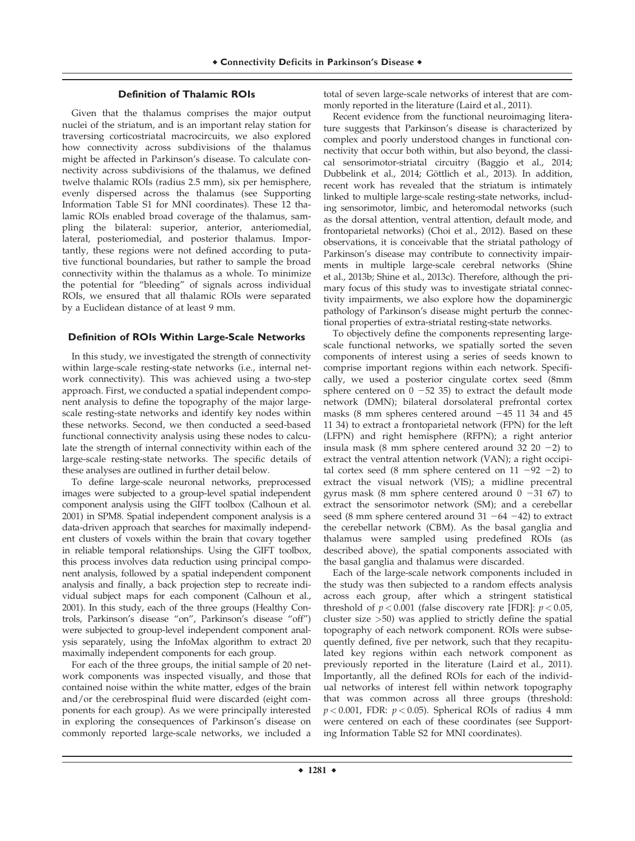# **Definition of Thalamic ROIs**

Given that the thalamus comprises the major output nuclei of the striatum, and is an important relay station for traversing corticostriatal macrocircuits, we also explored how connectivity across subdivisions of the thalamus might be affected in Parkinson's disease. To calculate connectivity across subdivisions of the thalamus, we defined twelve thalamic ROIs (radius 2.5 mm), six per hemisphere, evenly dispersed across the thalamus (see Supporting Information Table S1 for MNI coordinates). These 12 thalamic ROIs enabled broad coverage of the thalamus, sampling the bilateral: superior, anterior, anteriomedial, lateral, posteriomedial, and posterior thalamus. Importantly, these regions were not defined according to putative functional boundaries, but rather to sample the broad connectivity within the thalamus as a whole. To minimize the potential for "bleeding" of signals across individual ROIs, we ensured that all thalamic ROIs were separated by a Euclidean distance of at least 9 mm.

# **Definition of ROIs Within Large-Scale Networks**

In this study, we investigated the strength of connectivity within large-scale resting-state networks (i.e., internal network connectivity). This was achieved using a two-step approach. First, we conducted a spatial independent component analysis to define the topography of the major largescale resting-state networks and identify key nodes within these networks. Second, we then conducted a seed-based functional connectivity analysis using these nodes to calculate the strength of internal connectivity within each of the large-scale resting-state networks. The specific details of these analyses are outlined in further detail below.

To define large-scale neuronal networks, preprocessed images were subjected to a group-level spatial independent component analysis using the GIFT toolbox (Calhoun et al. 2001) in SPM8. Spatial independent component analysis is a data-driven approach that searches for maximally independent clusters of voxels within the brain that covary together in reliable temporal relationships. Using the GIFT toolbox, this process involves data reduction using principal component analysis, followed by a spatial independent component analysis and finally, a back projection step to recreate individual subject maps for each component (Calhoun et al., 2001). In this study, each of the three groups (Healthy Controls, Parkinson's disease "on", Parkinson's disease "off") were subjected to group-level independent component analysis separately, using the InfoMax algorithm to extract 20 maximally independent components for each group.

For each of the three groups, the initial sample of 20 network components was inspected visually, and those that contained noise within the white matter, edges of the brain and/or the cerebrospinal fluid were discarded (eight components for each group). As we were principally interested in exploring the consequences of Parkinson's disease on commonly reported large-scale networks, we included a total of seven large-scale networks of interest that are commonly reported in the literature (Laird et al., 2011).

Recent evidence from the functional neuroimaging literature suggests that Parkinson's disease is characterized by complex and poorly understood changes in functional connectivity that occur both within, but also beyond, the classical sensorimotor-striatal circuitry (Baggio et al., 2014; Dubbelink et al., 2014; Göttlich et al., 2013). In addition, recent work has revealed that the striatum is intimately linked to multiple large-scale resting-state networks, including sensorimotor, limbic, and heteromodal networks (such as the dorsal attention, ventral attention, default mode, and frontoparietal networks) (Choi et al., 2012). Based on these observations, it is conceivable that the striatal pathology of Parkinson's disease may contribute to connectivity impairments in multiple large-scale cerebral networks (Shine et al., 2013b; Shine et al., 2013c). Therefore, although the primary focus of this study was to investigate striatal connectivity impairments, we also explore how the dopaminergic pathology of Parkinson's disease might perturb the connectional properties of extra-striatal resting-state networks.

To objectively define the components representing largescale functional networks, we spatially sorted the seven components of interest using a series of seeds known to comprise important regions within each network. Specifically, we used a posterior cingulate cortex seed (8mm sphere centered on  $0 -52$  35) to extract the default mode network (DMN); bilateral dorsolateral prefrontal cortex masks (8 mm spheres centered around  $-45$  11 34 and 45 11 34) to extract a frontoparietal network (FPN) for the left (LFPN) and right hemisphere (RFPN); a right anterior insula mask (8 mm sphere centered around 32 20  $-2$ ) to extract the ventral attention network (VAN); a right occipital cortex seed (8 mm sphere centered on  $11 - 92 - 2$ ) to extract the visual network (VIS); a midline precentral gyrus mask (8 mm sphere centered around  $0 -3167$ ) to extract the sensorimotor network (SM); and a cerebellar seed (8 mm sphere centered around  $31 - 64 - 42$ ) to extract the cerebellar network (CBM). As the basal ganglia and thalamus were sampled using predefined ROIs (as described above), the spatial components associated with the basal ganglia and thalamus were discarded.

Each of the large-scale network components included in the study was then subjected to a random effects analysis across each group, after which a stringent statistical threshold of  $p < 0.001$  (false discovery rate [FDR]:  $p < 0.05$ , cluster size >50) was applied to strictly define the spatial topography of each network component. ROIs were subsequently defined, five per network, such that they recapitulated key regions within each network component as previously reported in the literature (Laird et al., 2011). Importantly, all the defined ROIs for each of the individual networks of interest fell within network topography that was common across all three groups (threshold:  $p < 0.001$ , FDR:  $p < 0.05$ ). Spherical ROIs of radius 4 mm were centered on each of these coordinates (see Supporting Information Table S2 for MNI coordinates).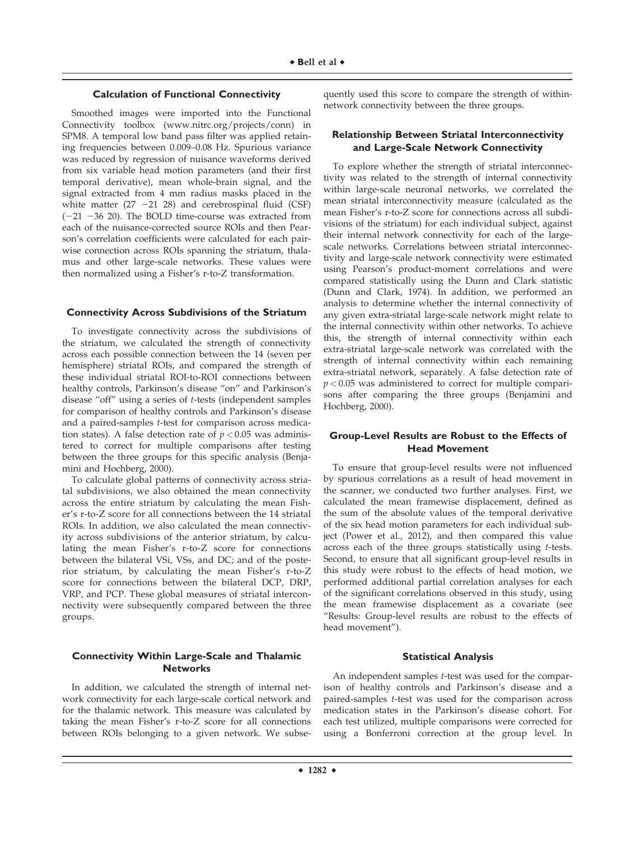#### **Calculation of Functional Connectivity**

Smoothed images were imported into the Functional Connectivity toolbox ([www.nitrc.org/projects/conn\)](http://www.nitrc.org/projects/conn) in SPM8. A temporal low band pass filter was applied retaining frequencies between 0.009–0.08 Hz. Spurious variance was reduced by regression of nuisance waveforms derived from six variable head motion parameters (and their first temporal derivative), mean whole-brain signal, and the signal extracted from 4 mm radius masks placed in the white matter  $(27 - 21 28)$  and cerebrospinal fluid (CSF)  $(-21 - 36 20)$ . The BOLD time-course was extracted from each of the nuisance-corrected source ROIs and then Pearson's correlation coefficients were calculated for each pairwise connection across ROIs spanning the striatum, thalamus and other large-scale networks. These values were then normalized using a Fisher's r-to-Z transformation.

#### **Connectivity Across Subdivisions of the Striatum**

To investigate connectivity across the subdivisions of the striatum, we calculated the strength of connectivity across each possible connection between the 14 (seven per hemisphere) striatal ROIs, and compared the strength of these individual striatal ROI-to-ROI connections between healthy controls, Parkinson's disease "on" and Parkinson's disease "off" using a series of t-tests (independent samples for comparison of healthy controls and Parkinson's disease and a paired-samples t-test for comparison across medication states). A false detection rate of  $p < 0.05$  was administered to correct for multiple comparisons after testing between the three groups for this specific analysis (Benjamini and Hochberg, 2000).

To calculate global patterns of connectivity across striatal subdivisions, we also obtained the mean connectivity across the entire striatum by calculating the mean Fisher's r-to-Z score for all connections between the 14 striatal ROIs. In addition, we also calculated the mean connectivity across subdivisions of the anterior striatum, by calculating the mean Fisher's r-to-Z score for connections between the bilateral VSi, VSs, and DC; and of the posterior striatum, by calculating the mean Fisher's r-to-Z score for connections between the bilateral DCP, DRP, VRP, and PCP. These global measures of striatal interconnectivity were subsequently compared between the three groups.

# **Connectivity Within Large-Scale and Thalamic Networks**

In addition, we calculated the strength of internal network connectivity for each large-scale cortical network and for the thalamic network. This measure was calculated by taking the mean Fisher's r-to-Z score for all connections between ROIs belonging to a given network. We subsequently used this score to compare the strength of withinnetwork connectivity between the three groups.

# **Relationship Between Striatal Interconnectivity and Large-Scale Network Connectivity**

To explore whether the strength of striatal interconnectivity was related to the strength of internal connectivity within large-scale neuronal networks, we correlated the mean striatal interconnectivity measure (calculated as the mean Fisher's r-to-Z score for connections across all subdivisions of the striatum) for each individual subject, against their internal network connectivity for each of the largescale networks. Correlations between striatal interconnectivity and large-scale network connectivity were estimated using Pearson's product-moment correlations and were compared statistically using the Dunn and Clark statistic (Dunn and Clark, 1974). In addition, we performed an analysis to determine whether the internal connectivity of any given extra-striatal large-scale network might relate to the internal connectivity within other networks. To achieve this, the strength of internal connectivity within each extra-striatal large-scale network was correlated with the strength of internal connectivity within each remaining extra-striatal network, separately. A false detection rate of  $p < 0.05$  was administered to correct for multiple comparisons after comparing the three groups (Benjamini and Hochberg, 2000).

# **Group-Level Results are Robust to the Effects of Head Movement**

To ensure that group-level results were not influenced by spurious correlations as a result of head movement in the scanner, we conducted two further analyses. First, we calculated the mean framewise displacement, defined as the sum of the absolute values of the temporal derivative of the six head motion parameters for each individual subject (Power et al., 2012), and then compared this value across each of the three groups statistically using t-tests. Second, to ensure that all significant group-level results in this study were robust to the effects of head motion, we performed additional partial correlation analyses for each of the significant correlations observed in this study, using the mean framewise displacement as a covariate (see "Results: Group-level results are robust to the effects of head movement").

#### **Statistical Analysis**

An independent samples t-test was used for the comparison of healthy controls and Parkinson's disease and a paired-samples t-test was used for the comparison across medication states in the Parkinson's disease cohort. For each test utilized, multiple comparisons were corrected for using a Bonferroni correction at the group level. In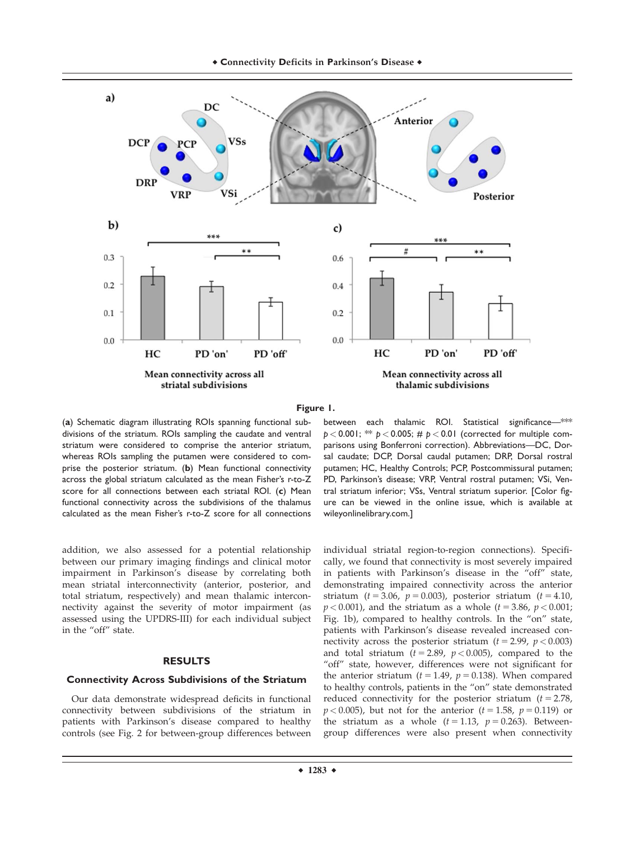

**Figure 1.**

(**a**) Schematic diagram illustrating ROIs spanning functional subdivisions of the striatum. ROIs sampling the caudate and ventral striatum were considered to comprise the anterior striatum, whereas ROIs sampling the putamen were considered to comprise the posterior striatum. (**b**) Mean functional connectivity across the global striatum calculated as the mean Fisher's r-to-Z score for all connections between each striatal ROI. (**c**) Mean functional connectivity across the subdivisions of the thalamus calculated as the mean Fisher's r-to-Z score for all connections

addition, we also assessed for a potential relationship between our primary imaging findings and clinical motor impairment in Parkinson's disease by correlating both mean striatal interconnectivity (anterior, posterior, and total striatum, respectively) and mean thalamic interconnectivity against the severity of motor impairment (as assessed using the UPDRS-III) for each individual subject in the "off" state.

#### **RESULTS**

# **Connectivity Across Subdivisions of the Striatum**

Our data demonstrate widespread deficits in functional connectivity between subdivisions of the striatum in patients with Parkinson's disease compared to healthy controls (see Fig. 2 for between-group differences between between each thalamic ROI. Statistical significance-<sup>\*\*\*</sup> *p* < 0.001; \*\* *p* < 0.005; # *p* < 0.01 (corrected for multiple comparisons using Bonferroni correction). Abbreviations—DC, Dorsal caudate; DCP, Dorsal caudal putamen; DRP, Dorsal rostral putamen; HC, Healthy Controls; PCP, Postcommissural putamen; PD, Parkinson's disease; VRP, Ventral rostral putamen; VSi, Ventral striatum inferior; VSs, Ventral striatum superior. [Color figure can be viewed in the online issue, which is available at wileyonlinelibrary.com.]

individual striatal region-to-region connections). Specifically, we found that connectivity is most severely impaired in patients with Parkinson's disease in the "off" state, demonstrating impaired connectivity across the anterior striatum ( $t = 3.06$ ,  $p = 0.003$ ), posterior striatum ( $t = 4.10$ ,  $p < 0.001$ ), and the striatum as a whole ( $t = 3.86$ ,  $p < 0.001$ ; Fig. 1b), compared to healthy controls. In the "on" state, patients with Parkinson's disease revealed increased connectivity across the posterior striatum ( $t = 2.99$ ,  $p < 0.003$ ) and total striatum ( $t = 2.89$ ,  $p < 0.005$ ), compared to the "off" state, however, differences were not significant for the anterior striatum ( $t = 1.49$ ,  $p = 0.138$ ). When compared to healthy controls, patients in the "on" state demonstrated reduced connectivity for the posterior striatum  $(t = 2.78)$ ,  $p < 0.005$ ), but not for the anterior ( $t = 1.58$ ,  $p = 0.119$ ) or the striatum as a whole  $(t = 1.13, p = 0.263)$ . Betweengroup differences were also present when connectivity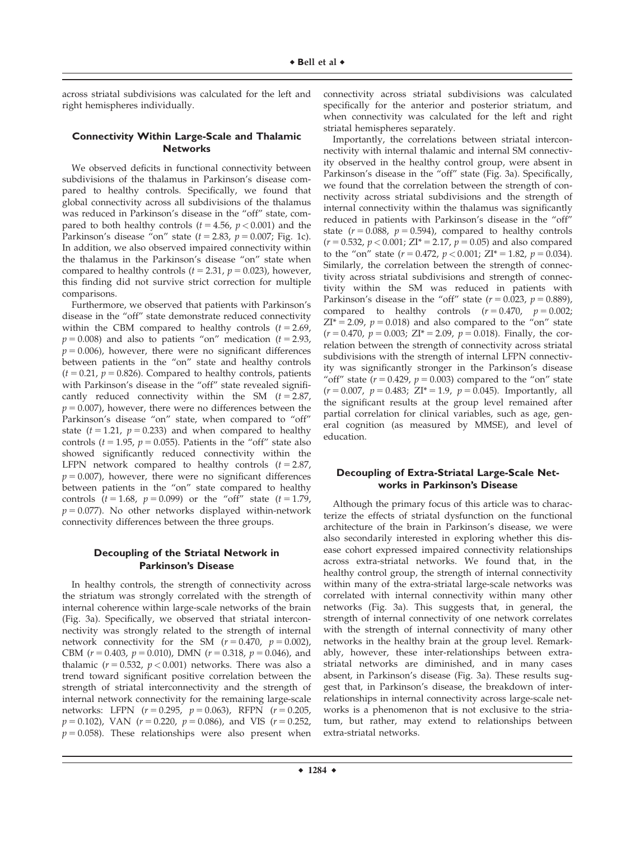across striatal subdivisions was calculated for the left and right hemispheres individually.

#### **Connectivity Within Large-Scale and Thalamic Networks**

We observed deficits in functional connectivity between subdivisions of the thalamus in Parkinson's disease compared to healthy controls. Specifically, we found that global connectivity across all subdivisions of the thalamus was reduced in Parkinson's disease in the "off" state, compared to both healthy controls ( $t = 4.56$ ,  $p < 0.001$ ) and the Parkinson's disease "on" state ( $t = 2.83$ ,  $p = 0.007$ ; Fig. 1c). In addition, we also observed impaired connectivity within the thalamus in the Parkinson's disease "on" state when compared to healthy controls ( $t = 2.31$ ,  $p = 0.023$ ), however, this finding did not survive strict correction for multiple comparisons.

Furthermore, we observed that patients with Parkinson's disease in the "off" state demonstrate reduced connectivity within the CBM compared to healthy controls  $(t = 2.69)$ ,  $p = 0.008$ ) and also to patients "on" medication ( $t = 2.93$ ,  $p = 0.006$ ), however, there were no significant differences between patients in the "on" state and healthy controls  $(t = 0.21, p = 0.826)$ . Compared to healthy controls, patients with Parkinson's disease in the "off" state revealed significantly reduced connectivity within the SM  $(t = 2.87)$ ,  $p = 0.007$ ), however, there were no differences between the Parkinson's disease "on" state, when compared to "off" state ( $t = 1.21$ ,  $p = 0.233$ ) and when compared to healthy controls ( $t = 1.95$ ,  $p = 0.055$ ). Patients in the "off" state also showed significantly reduced connectivity within the LFPN network compared to healthy controls  $(t = 2.87)$ ,  $p = 0.007$ ), however, there were no significant differences between patients in the "on" state compared to healthy controls  $(t = 1.68, p = 0.099)$  or the "off" state  $(t = 1.79,$  $p = 0.077$ ). No other networks displayed within-network connectivity differences between the three groups.

# **Decoupling of the Striatal Network in Parkinson's Disease**

In healthy controls, the strength of connectivity across the striatum was strongly correlated with the strength of internal coherence within large-scale networks of the brain (Fig. 3a). Specifically, we observed that striatal interconnectivity was strongly related to the strength of internal network connectivity for the SM  $(r = 0.470, p = 0.002)$ , CBM ( $r = 0.403$ ,  $p = 0.010$ ), DMN ( $r = 0.318$ ,  $p = 0.046$ ), and thalamic ( $r = 0.532$ ,  $p < 0.001$ ) networks. There was also a trend toward significant positive correlation between the strength of striatal interconnectivity and the strength of internal network connectivity for the remaining large-scale networks: LFPN  $(r = 0.295, p = 0.063)$ , RFPN  $(r = 0.205,$  $p = 0.102$ ), VAN ( $r = 0.220$ ,  $p = 0.086$ ), and VIS ( $r = 0.252$ ,  $p = 0.058$ ). These relationships were also present when

connectivity across striatal subdivisions was calculated specifically for the anterior and posterior striatum, and when connectivity was calculated for the left and right striatal hemispheres separately.

Importantly, the correlations between striatal interconnectivity with internal thalamic and internal SM connectivity observed in the healthy control group, were absent in Parkinson's disease in the "off" state (Fig. 3a). Specifically, we found that the correlation between the strength of connectivity across striatal subdivisions and the strength of internal connectivity within the thalamus was significantly reduced in patients with Parkinson's disease in the "off" state ( $r = 0.088$ ,  $p = 0.594$ ), compared to healthy controls  $(r = 0.532, p < 0.001; ZI^* = 2.17, p = 0.05)$  and also compared to the "on" state ( $r = 0.472$ ,  $p < 0.001$ ; ZI\* = 1.82,  $p = 0.034$ ). Similarly, the correlation between the strength of connectivity across striatal subdivisions and strength of connectivity within the SM was reduced in patients with Parkinson's disease in the "off" state  $(r = 0.023, p = 0.889)$ , compared to healthy controls  $(r = 0.470, p = 0.002;$  $ZI^* = 2.09$ ,  $p = 0.018$ ) and also compared to the "on" state  $(r = 0.470, p = 0.003; ZI^* = 2.09, p = 0.018)$ . Finally, the correlation between the strength of connectivity across striatal subdivisions with the strength of internal LFPN connectivity was significantly stronger in the Parkinson's disease "off" state  $(r = 0.429, p = 0.003)$  compared to the "on" state  $(r = 0.007, p = 0.483; ZI^* = 1.9, p = 0.045)$ . Importantly, all the significant results at the group level remained after partial correlation for clinical variables, such as age, general cognition (as measured by MMSE), and level of education.

# **Decoupling of Extra-Striatal Large-Scale Networks in Parkinson's Disease**

Although the primary focus of this article was to characterize the effects of striatal dysfunction on the functional architecture of the brain in Parkinson's disease, we were also secondarily interested in exploring whether this disease cohort expressed impaired connectivity relationships across extra-striatal networks. We found that, in the healthy control group, the strength of internal connectivity within many of the extra-striatal large-scale networks was correlated with internal connectivity within many other networks (Fig. 3a). This suggests that, in general, the strength of internal connectivity of one network correlates with the strength of internal connectivity of many other networks in the healthy brain at the group level. Remarkably, however, these inter-relationships between extrastriatal networks are diminished, and in many cases absent, in Parkinson's disease (Fig. 3a). These results suggest that, in Parkinson's disease, the breakdown of interrelationships in internal connectivity across large-scale networks is a phenomenon that is not exclusive to the striatum, but rather, may extend to relationships between extra-striatal networks.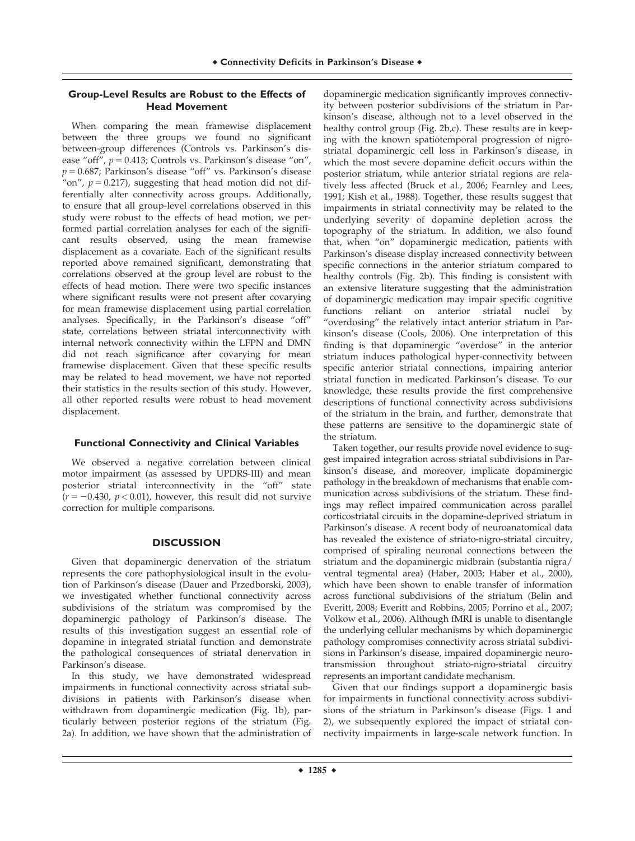# **Group-Level Results are Robust to the Effects of Head Movement**

When comparing the mean framewise displacement between the three groups we found no significant between-group differences (Controls vs. Parkinson's disease "off",  $p = 0.413$ ; Controls vs. Parkinson's disease "on",  $p = 0.687$ ; Parkinson's disease "off" vs. Parkinson's disease "on",  $p = 0.217$ ), suggesting that head motion did not differentially alter connectivity across groups. Additionally, to ensure that all group-level correlations observed in this study were robust to the effects of head motion, we performed partial correlation analyses for each of the significant results observed, using the mean framewise displacement as a covariate. Each of the significant results reported above remained significant, demonstrating that correlations observed at the group level are robust to the effects of head motion. There were two specific instances where significant results were not present after covarying for mean framewise displacement using partial correlation analyses. Specifically, in the Parkinson's disease "off" state, correlations between striatal interconnectivity with internal network connectivity within the LFPN and DMN did not reach significance after covarying for mean framewise displacement. Given that these specific results may be related to head movement, we have not reported their statistics in the results section of this study. However, all other reported results were robust to head movement displacement.

#### **Functional Connectivity and Clinical Variables**

We observed a negative correlation between clinical motor impairment (as assessed by UPDRS-III) and mean posterior striatal interconnectivity in the "off" state  $(r = -0.430, p < 0.01)$ , however, this result did not survive correction for multiple comparisons.

#### **DISCUSSION**

Given that dopaminergic denervation of the striatum represents the core pathophysiological insult in the evolution of Parkinson's disease (Dauer and Przedborski, 2003), we investigated whether functional connectivity across subdivisions of the striatum was compromised by the dopaminergic pathology of Parkinson's disease. The results of this investigation suggest an essential role of dopamine in integrated striatal function and demonstrate the pathological consequences of striatal denervation in Parkinson's disease.

In this study, we have demonstrated widespread impairments in functional connectivity across striatal subdivisions in patients with Parkinson's disease when withdrawn from dopaminergic medication (Fig. 1b), particularly between posterior regions of the striatum (Fig. 2a). In addition, we have shown that the administration of

dopaminergic medication significantly improves connectivity between posterior subdivisions of the striatum in Parkinson's disease, although not to a level observed in the healthy control group (Fig. 2b,c). These results are in keeping with the known spatiotemporal progression of nigrostriatal dopaminergic cell loss in Parkinson's disease, in which the most severe dopamine deficit occurs within the posterior striatum, while anterior striatal regions are relatively less affected (Bruck et al., 2006; Fearnley and Lees, 1991; Kish et al., 1988). Together, these results suggest that impairments in striatal connectivity may be related to the underlying severity of dopamine depletion across the topography of the striatum. In addition, we also found that, when "on" dopaminergic medication, patients with Parkinson's disease display increased connectivity between specific connections in the anterior striatum compared to healthy controls (Fig. 2b). This finding is consistent with an extensive literature suggesting that the administration of dopaminergic medication may impair specific cognitive functions reliant on anterior striatal nuclei by "overdosing" the relatively intact anterior striatum in Parkinson's disease (Cools, 2006). One interpretation of this finding is that dopaminergic "overdose" in the anterior striatum induces pathological hyper-connectivity between specific anterior striatal connections, impairing anterior striatal function in medicated Parkinson's disease. To our knowledge, these results provide the first comprehensive descriptions of functional connectivity across subdivisions of the striatum in the brain, and further, demonstrate that these patterns are sensitive to the dopaminergic state of the striatum.

Taken together, our results provide novel evidence to suggest impaired integration across striatal subdivisions in Parkinson's disease, and moreover, implicate dopaminergic pathology in the breakdown of mechanisms that enable communication across subdivisions of the striatum. These findings may reflect impaired communication across parallel corticostriatal circuits in the dopamine-deprived striatum in Parkinson's disease. A recent body of neuroanatomical data has revealed the existence of striato-nigro-striatal circuitry, comprised of spiraling neuronal connections between the striatum and the dopaminergic midbrain (substantia nigra/ ventral tegmental area) (Haber, 2003; Haber et al., 2000), which have been shown to enable transfer of information across functional subdivisions of the striatum (Belin and Everitt, 2008; Everitt and Robbins, 2005; Porrino et al., 2007; Volkow et al., 2006). Although fMRI is unable to disentangle the underlying cellular mechanisms by which dopaminergic pathology compromises connectivity across striatal subdivisions in Parkinson's disease, impaired dopaminergic neurotransmission throughout striato-nigro-striatal circuitry represents an important candidate mechanism.

Given that our findings support a dopaminergic basis for impairments in functional connectivity across subdivisions of the striatum in Parkinson's disease (Figs. 1 and 2), we subsequently explored the impact of striatal connectivity impairments in large-scale network function. In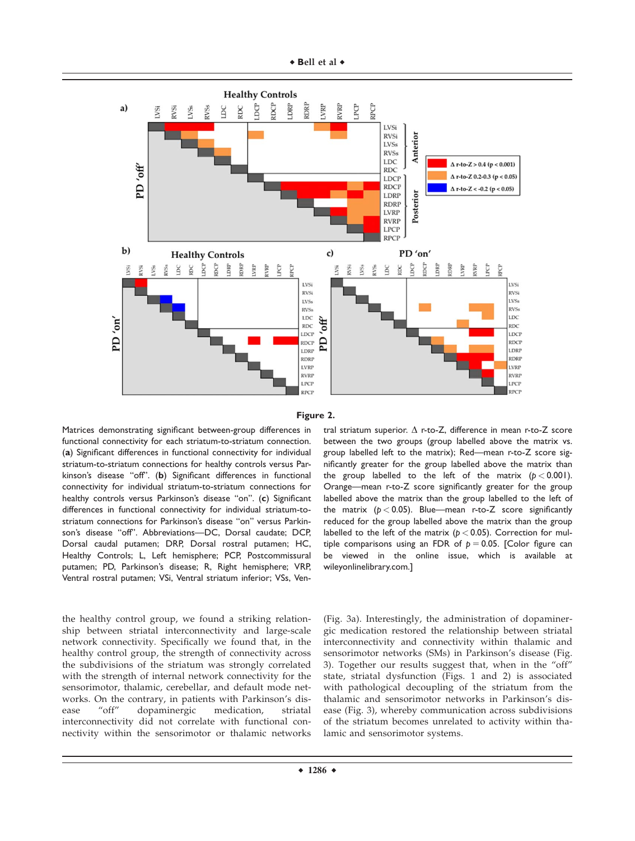



Matrices demonstrating significant between-group differences in functional connectivity for each striatum-to-striatum connection. (**a**) Significant differences in functional connectivity for individual striatum-to-striatum connections for healthy controls versus Parkinson's disease "off". (**b**) Significant differences in functional connectivity for individual striatum-to-striatum connections for healthy controls versus Parkinson's disease "on". (**c**) Significant differences in functional connectivity for individual striatum-tostriatum connections for Parkinson's disease "on" versus Parkinson's disease "off". Abbreviations—DC, Dorsal caudate; DCP, Dorsal caudal putamen; DRP, Dorsal rostral putamen; HC, Healthy Controls; L, Left hemisphere; PCP, Postcommissural putamen; PD, Parkinson's disease; R, Right hemisphere; VRP, Ventral rostral putamen; VSi, Ventral striatum inferior; VSs, Ven-

the healthy control group, we found a striking relationship between striatal interconnectivity and large-scale network connectivity. Specifically we found that, in the healthy control group, the strength of connectivity across the subdivisions of the striatum was strongly correlated with the strength of internal network connectivity for the sensorimotor, thalamic, cerebellar, and default mode networks. On the contrary, in patients with Parkinson's disease "off" dopaminergic medication, striatal interconnectivity did not correlate with functional connectivity within the sensorimotor or thalamic networks

tral striatum superior.  $\Delta$  r-to-Z, difference in mean r-to-Z score between the two groups (group labelled above the matrix vs. group labelled left to the matrix); Red—mean r-to-Z score significantly greater for the group labelled above the matrix than the group labelled to the left of the matrix  $(p < 0.001)$ . Orange—mean r-to-Z score significantly greater for the group labelled above the matrix than the group labelled to the left of the matrix  $(p < 0.05)$ . Blue—mean r-to-Z score significantly reduced for the group labelled above the matrix than the group labelled to the left of the matrix ( $p < 0.05$ ). Correction for multiple comparisons using an FDR of  $p = 0.05$ . [Color figure can be viewed in the online issue, which is available at wileyonlinelibrary.com.]

(Fig. 3a). Interestingly, the administration of dopaminergic medication restored the relationship between striatal interconnectivity and connectivity within thalamic and sensorimotor networks (SMs) in Parkinson's disease (Fig. 3). Together our results suggest that, when in the "off" state, striatal dysfunction (Figs. 1 and 2) is associated with pathological decoupling of the striatum from the thalamic and sensorimotor networks in Parkinson's disease (Fig. 3), whereby communication across subdivisions of the striatum becomes unrelated to activity within thalamic and sensorimotor systems.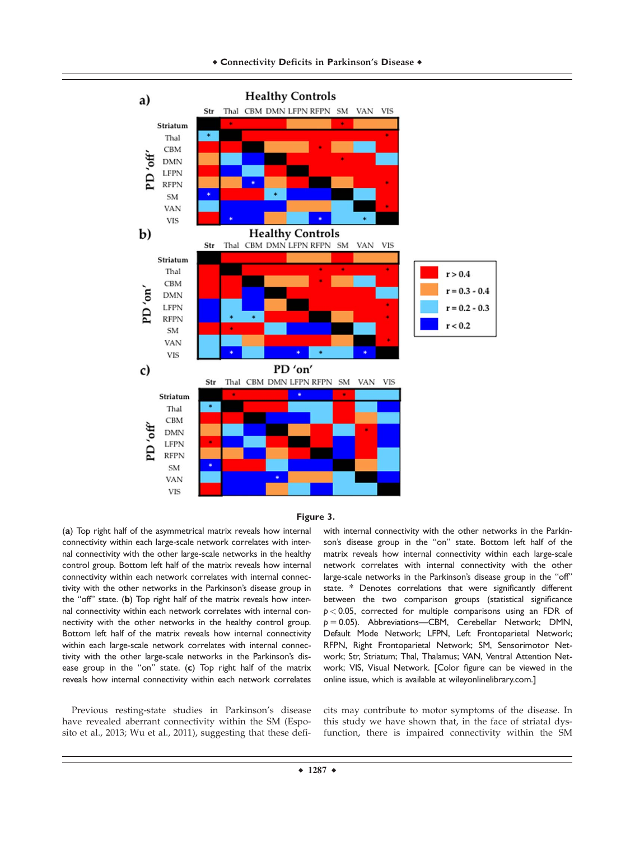



(**a**) Top right half of the asymmetrical matrix reveals how internal connectivity within each large-scale network correlates with internal connectivity with the other large-scale networks in the healthy control group. Bottom left half of the matrix reveals how internal connectivity within each network correlates with internal connectivity with the other networks in the Parkinson's disease group in the "off" state. (**b**) Top right half of the matrix reveals how internal connectivity within each network correlates with internal connectivity with the other networks in the healthy control group. Bottom left half of the matrix reveals how internal connectivity within each large-scale network correlates with internal connectivity with the other large-scale networks in the Parkinson's disease group in the "on" state. (**c**) Top right half of the matrix reveals how internal connectivity within each network correlates

Previous resting-state studies in Parkinson's disease have revealed aberrant connectivity within the SM (Esposito et al., 2013; Wu et al., 2011), suggesting that these defiwith internal connectivity with the other networks in the Parkinson's disease group in the "on" state. Bottom left half of the matrix reveals how internal connectivity within each large-scale network correlates with internal connectivity with the other large-scale networks in the Parkinson's disease group in the "off" state. \* Denotes correlations that were significantly different between the two comparison groups (statistical significance *p* < 0.05, corrected for multiple comparisons using an FDR of  $p = 0.05$ ). Abbreviations—CBM, Cerebellar Network; DMN, Default Mode Network; LFPN, Left Frontoparietal Network; RFPN, Right Frontoparietal Network; SM, Sensorimotor Network; Str, Striatum; Thal, Thalamus; VAN, Ventral Attention Network; VIS, Visual Network. [Color figure can be viewed in the online issue, which is available at wileyonlinelibrary.com.]

cits may contribute to motor symptoms of the disease. In this study we have shown that, in the face of striatal dysfunction, there is impaired connectivity within the SM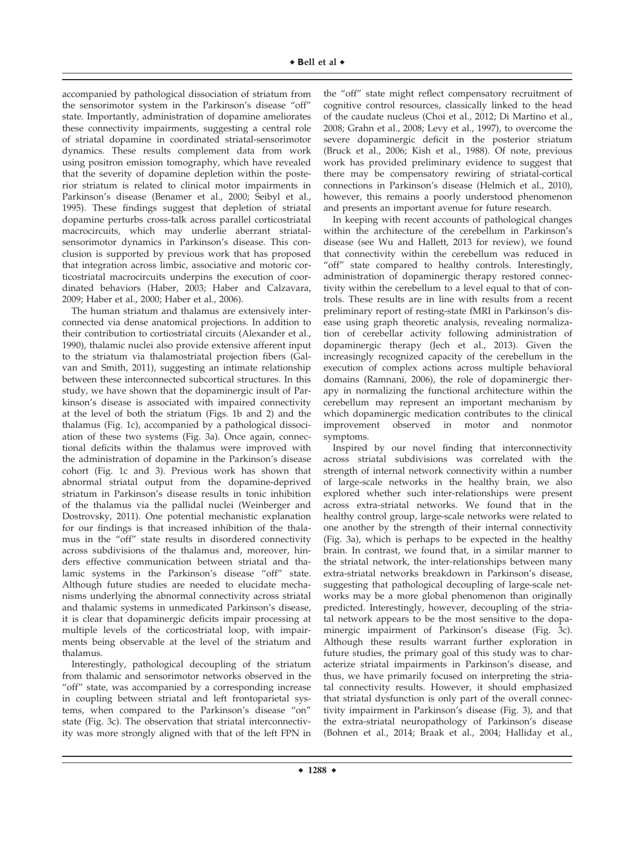accompanied by pathological dissociation of striatum from the sensorimotor system in the Parkinson's disease "off" state. Importantly, administration of dopamine ameliorates these connectivity impairments, suggesting a central role of striatal dopamine in coordinated striatal-sensorimotor dynamics. These results complement data from work using positron emission tomography, which have revealed that the severity of dopamine depletion within the posterior striatum is related to clinical motor impairments in Parkinson's disease (Benamer et al., 2000; Seibyl et al., 1995). These findings suggest that depletion of striatal dopamine perturbs cross-talk across parallel corticostriatal macrocircuits, which may underlie aberrant striatalsensorimotor dynamics in Parkinson's disease. This conclusion is supported by previous work that has proposed that integration across limbic, associative and motoric corticostriatal macrocircuits underpins the execution of coordinated behaviors (Haber, 2003; Haber and Calzavara, 2009; Haber et al., 2000; Haber et al., 2006).

The human striatum and thalamus are extensively interconnected via dense anatomical projections. In addition to their contribution to cortiostriatal circuits (Alexander et al., 1990), thalamic nuclei also provide extensive afferent input to the striatum via thalamostriatal projection fibers (Galvan and Smith, 2011), suggesting an intimate relationship between these interconnected subcortical structures. In this study, we have shown that the dopaminergic insult of Parkinson's disease is associated with impaired connectivity at the level of both the striatum (Figs. 1b and 2) and the thalamus (Fig. 1c), accompanied by a pathological dissociation of these two systems (Fig. 3a). Once again, connectional deficits within the thalamus were improved with the administration of dopamine in the Parkinson's disease cohort (Fig. 1c and 3). Previous work has shown that abnormal striatal output from the dopamine-deprived striatum in Parkinson's disease results in tonic inhibition of the thalamus via the pallidal nuclei (Weinberger and Dostrovsky, 2011). One potential mechanistic explanation for our findings is that increased inhibition of the thalamus in the "off" state results in disordered connectivity across subdivisions of the thalamus and, moreover, hinders effective communication between striatal and thalamic systems in the Parkinson's disease "off" state. Although future studies are needed to elucidate mechanisms underlying the abnormal connectivity across striatal and thalamic systems in unmedicated Parkinson's disease, it is clear that dopaminergic deficits impair processing at multiple levels of the corticostriatal loop, with impairments being observable at the level of the striatum and thalamus.

Interestingly, pathological decoupling of the striatum from thalamic and sensorimotor networks observed in the "off" state, was accompanied by a corresponding increase in coupling between striatal and left frontoparietal systems, when compared to the Parkinson's disease "on" state (Fig. 3c). The observation that striatal interconnectivity was more strongly aligned with that of the left FPN in

the "off" state might reflect compensatory recruitment of cognitive control resources, classically linked to the head of the caudate nucleus (Choi et al., 2012; Di Martino et al., 2008; Grahn et al., 2008; Levy et al., 1997), to overcome the severe dopaminergic deficit in the posterior striatum (Bruck et al., 2006; Kish et al., 1988). Of note, previous work has provided preliminary evidence to suggest that there may be compensatory rewiring of striatal-cortical connections in Parkinson's disease (Helmich et al., 2010), however, this remains a poorly understood phenomenon and presents an important avenue for future research.

In keeping with recent accounts of pathological changes within the architecture of the cerebellum in Parkinson's disease (see Wu and Hallett, 2013 for review), we found that connectivity within the cerebellum was reduced in "off" state compared to healthy controls. Interestingly, administration of dopaminergic therapy restored connectivity within the cerebellum to a level equal to that of controls. These results are in line with results from a recent preliminary report of resting-state fMRI in Parkinson's disease using graph theoretic analysis, revealing normalization of cerebellar activity following administration of dopaminergic therapy (Jech et al., 2013). Given the increasingly recognized capacity of the cerebellum in the execution of complex actions across multiple behavioral domains (Ramnani, 2006), the role of dopaminergic therapy in normalizing the functional architecture within the cerebellum may represent an important mechanism by which dopaminergic medication contributes to the clinical improvement observed in motor and nonmotor symptoms.

Inspired by our novel finding that interconnectivity across striatal subdivisions was correlated with the strength of internal network connectivity within a number of large-scale networks in the healthy brain, we also explored whether such inter-relationships were present across extra-striatal networks. We found that in the healthy control group, large-scale networks were related to one another by the strength of their internal connectivity (Fig. 3a), which is perhaps to be expected in the healthy brain. In contrast, we found that, in a similar manner to the striatal network, the inter-relationships between many extra-striatal networks breakdown in Parkinson's disease, suggesting that pathological decoupling of large-scale networks may be a more global phenomenon than originally predicted. Interestingly, however, decoupling of the striatal network appears to be the most sensitive to the dopaminergic impairment of Parkinson's disease (Fig. 3c). Although these results warrant further exploration in future studies, the primary goal of this study was to characterize striatal impairments in Parkinson's disease, and thus, we have primarily focused on interpreting the striatal connectivity results. However, it should emphasized that striatal dysfunction is only part of the overall connectivity impairment in Parkinson's disease (Fig. 3), and that the extra-striatal neuropathology of Parkinson's disease (Bohnen et al., 2014; Braak et al., 2004; Halliday et al.,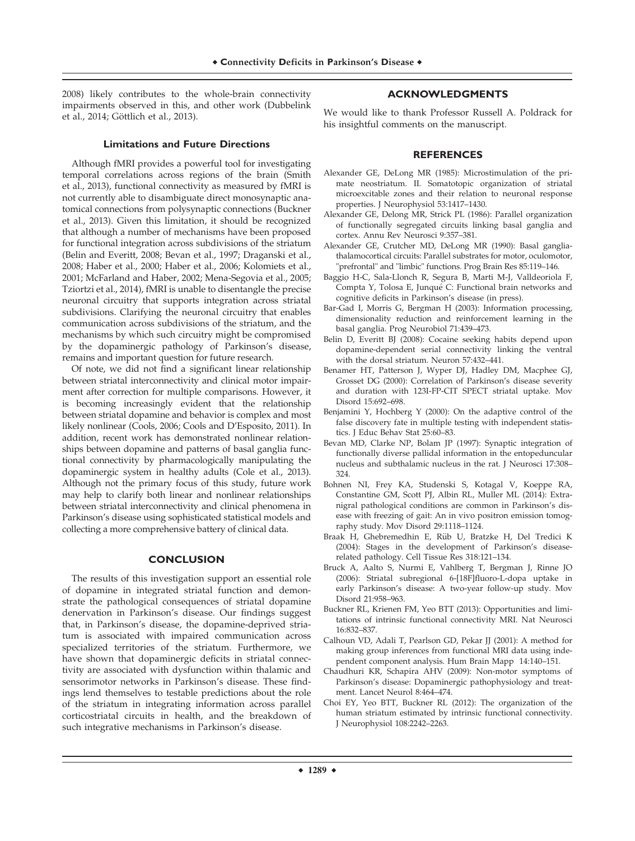2008) likely contributes to the whole-brain connectivity impairments observed in this, and other work (Dubbelink et al., 2014; Göttlich et al., 2013).

#### **Limitations and Future Directions**

Although fMRI provides a powerful tool for investigating temporal correlations across regions of the brain (Smith et al., 2013), functional connectivity as measured by fMRI is not currently able to disambiguate direct monosynaptic anatomical connections from polysynaptic connections (Buckner et al., 2013). Given this limitation, it should be recognized that although a number of mechanisms have been proposed for functional integration across subdivisions of the striatum (Belin and Everitt, 2008; Bevan et al., 1997; Draganski et al., 2008; Haber et al., 2000; Haber et al., 2006; Kolomiets et al., 2001; McFarland and Haber, 2002; Mena-Segovia et al., 2005; Tziortzi et al., 2014), fMRI is unable to disentangle the precise neuronal circuitry that supports integration across striatal subdivisions. Clarifying the neuronal circuitry that enables communication across subdivisions of the striatum, and the mechanisms by which such circuitry might be compromised by the dopaminergic pathology of Parkinson's disease, remains and important question for future research.

Of note, we did not find a significant linear relationship between striatal interconnectivity and clinical motor impairment after correction for multiple comparisons. However, it is becoming increasingly evident that the relationship between striatal dopamine and behavior is complex and most likely nonlinear (Cools, 2006; Cools and D'Esposito, 2011). In addition, recent work has demonstrated nonlinear relationships between dopamine and patterns of basal ganglia functional connectivity by pharmacologically manipulating the dopaminergic system in healthy adults (Cole et al., 2013). Although not the primary focus of this study, future work may help to clarify both linear and nonlinear relationships between striatal interconnectivity and clinical phenomena in Parkinson's disease using sophisticated statistical models and collecting a more comprehensive battery of clinical data.

#### **CONCLUSION**

The results of this investigation support an essential role of dopamine in integrated striatal function and demonstrate the pathological consequences of striatal dopamine denervation in Parkinson's disease. Our findings suggest that, in Parkinson's disease, the dopamine-deprived striatum is associated with impaired communication across specialized territories of the striatum. Furthermore, we have shown that dopaminergic deficits in striatal connectivity are associated with dysfunction within thalamic and sensorimotor networks in Parkinson's disease. These findings lend themselves to testable predictions about the role of the striatum in integrating information across parallel corticostriatal circuits in health, and the breakdown of such integrative mechanisms in Parkinson's disease.

#### **ACKNOWLEDGMENTS**

We would like to thank Professor Russell A. Poldrack for his insightful comments on the manuscript.

#### **REFERENCES**

- Alexander GE, DeLong MR (1985): Microstimulation of the primate neostriatum. II. Somatotopic organization of striatal microexcitable zones and their relation to neuronal response properties. J Neurophysiol 53:1417–1430.
- Alexander GE, Delong MR, Strick PL (1986): Parallel organization of functionally segregated circuits linking basal ganglia and cortex. Annu Rev Neurosci 9:357–381.
- Alexander GE, Crutcher MD, DeLong MR (1990): Basal gangliathalamocortical circuits: Parallel substrates for motor, oculomotor, "prefrontal" and "limbic" functions. Prog Brain Res 85:119–146.
- Baggio H-C, Sala-Llonch R, Segura B, Marti M-J, Valldeoriola F, Compta Y, Tolosa E, Junqué C: Functional brain networks and cognitive deficits in Parkinson's disease (in press).
- Bar-Gad I, Morris G, Bergman H (2003): Information processing, dimensionality reduction and reinforcement learning in the basal ganglia. Prog Neurobiol 71:439–473.
- Belin D, Everitt BJ (2008): Cocaine seeking habits depend upon dopamine-dependent serial connectivity linking the ventral with the dorsal striatum. Neuron 57:432–441.
- Benamer HT, Patterson J, Wyper DJ, Hadley DM, Macphee GJ, Grosset DG (2000): Correlation of Parkinson's disease severity and duration with 123I-FP-CIT SPECT striatal uptake. Mov Disord 15:692–698.
- Benjamini Y, Hochberg Y (2000): On the adaptive control of the false discovery fate in multiple testing with independent statistics. J Educ Behav Stat 25:60–83.
- Bevan MD, Clarke NP, Bolam JP (1997): Synaptic integration of functionally diverse pallidal information in the entopeduncular nucleus and subthalamic nucleus in the rat. J Neurosci 17:308– 324.
- Bohnen NI, Frey KA, Studenski S, Kotagal V, Koeppe RA, Constantine GM, Scott PJ, Albin RL, Muller ML (2014): Extranigral pathological conditions are common in Parkinson's disease with freezing of gait: An in vivo positron emission tomography study. Mov Disord 29:1118–1124.
- Braak H, Ghebremedhin E, Rüb U, Bratzke H, Del Tredici K (2004): Stages in the development of Parkinson's diseaserelated pathology. Cell Tissue Res 318:121–134.
- Bruck A, Aalto S, Nurmi E, Vahlberg T, Bergman J, Rinne JO (2006): Striatal subregional 6-[18F]fluoro-L-dopa uptake in early Parkinson's disease: A two-year follow-up study. Mov Disord 21:958–963.
- Buckner RL, Krienen FM, Yeo BTT (2013): Opportunities and limitations of intrinsic functional connectivity MRI. Nat Neurosci 16:832–837.
- Calhoun VD, Adali T, Pearlson GD, Pekar JJ (2001): A method for making group inferences from functional MRI data using independent component analysis. Hum Brain Mapp 14:140–151.
- Chaudhuri KR, Schapira AHV (2009): Non-motor symptoms of Parkinson's disease: Dopaminergic pathophysiology and treatment. Lancet Neurol 8:464–474.
- Choi EY, Yeo BTT, Buckner RL (2012): The organization of the human striatum estimated by intrinsic functional connectivity. J Neurophysiol 108:2242–2263.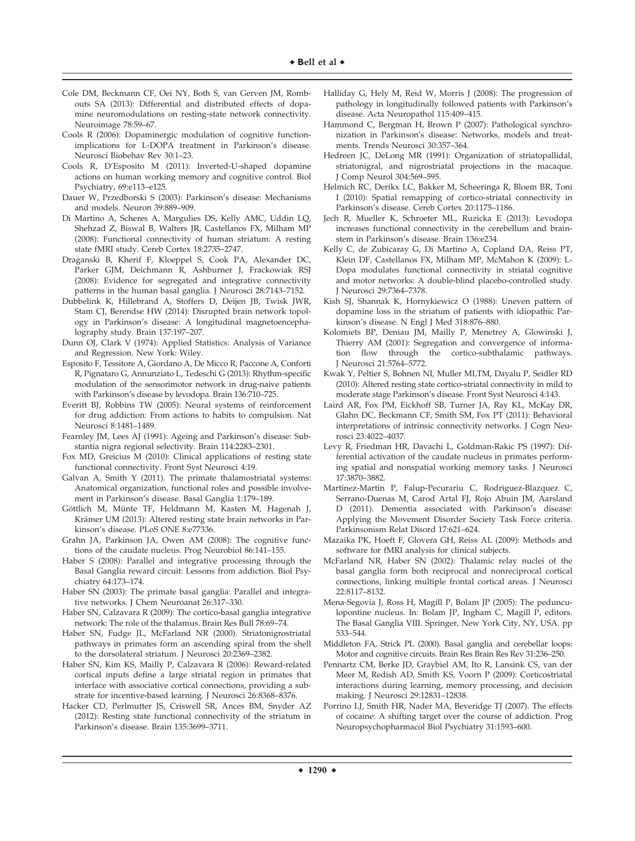- Cole DM, Beckmann CF, Oei NY, Both S, van Gerven JM, Rombouts SA (2013): Differential and distributed effects of dopamine neuromodulations on resting-state network connectivity. Neuroimage 78:59–67.
- Cools R (2006): Dopaminergic modulation of cognitive functionimplications for L-DOPA treatment in Parkinson's disease. Neurosci Biobehav Rev 30:1–23.
- Cools R, D'Esposito M (2011): Inverted-U-shaped dopamine actions on human working memory and cognitive control. Biol Psychiatry, 69:e113–e125.
- Dauer W, Przedborski S (2003): Parkinson's disease: Mechanisms and models. Neuron 39:889–909.
- Di Martino A, Scheres A, Margulies DS, Kelly AMC, Uddin LQ, Shehzad Z, Biswal B, Walters JR, Castellanos FX, Milham MP (2008): Functional connectivity of human striatum: A resting state fMRI study. Cereb Cortex 18:2735–2747.
- Draganski B, Kherif F, Kloeppel S, Cook PA, Alexander DC, Parker GJM, Deichmann R, Ashburner J, Frackowiak RSJ (2008): Evidence for segregated and integrative connectivity patterns in the human basal ganglia. J Neurosci 28:7143–7152.
- Dubbelink K, Hillebrand A, Stoffers D, Deijen JB, Twisk JWR, Stam CJ, Berendse HW (2014): Disrupted brain network topology in Parkinson's disease: A longitudinal magnetoencephalography study. Brain 137:197–207.
- Dunn OJ, Clark V (1974): Applied Statistics: Analysis of Variance and Regression. New York: Wiley.
- Esposito F, Tessitore A, Giordano A, De Micco R, Paccone A, Conforti R, Pignataro G, Annunziato L, Tedeschi G (2013): Rhythm-specific modulation of the sensorimotor network in drug-naive patients with Parkinson's disease by levodopa. Brain 136:710–725.
- Everitt BJ, Robbins TW (2005): Neural systems of reinforcement for drug addiction: From actions to habits to compulsion. Nat Neurosci 8:1481–1489.
- Fearnley JM, Lees AJ (1991): Ageing and Parkinson's disease: Substantia nigra regional selectivity. Brain 114:2283–2301.
- Fox MD, Greicius M (2010): Clinical applications of resting state functional connectivity. Front Syst Neurosci 4:19.
- Galvan A, Smith Y (2011). The primate thalamostriatal systems: Anatomical organization, functional roles and possible involvement in Parkinson's disease. Basal Ganglia 1:179–189.
- Göttlich M, Münte TF, Heldmann M, Kasten M, Hagenah J, Krämer UM (2013): Altered resting state brain networks in Parkinson's disease. PLoS ONE 8:e77336.
- Grahn JA, Parkinson JA, Owen AM (2008): The cognitive functions of the caudate nucleus. Prog Neurobiol 86:141–155.
- Haber S (2008): Parallel and integrative processing through the Basal Ganglia reward circuit: Lessons from addiction. Biol Psychiatry 64:173–174.
- Haber SN (2003): The primate basal ganglia: Parallel and integrative networks. J Chem Neuroanat 26:317–330.
- Haber SN, Calzavara R (2009): The cortico-basal ganglia integrative network: The role of the thalamus. Brain Res Bull 78:69–74.
- Haber SN, Fudge JL, McFarland NR (2000). Striatonigrostriatal pathways in primates form an ascending spiral from the shell to the dorsolateral striatum. J Neurosci 20:2369–2382.
- Haber SN, Kim KS, Mailly P, Calzavara R (2006): Reward-related cortical inputs define a large striatal region in primates that interface with associative cortical connections, providing a substrate for incentive-based learning. J Neurosci 26:8368–8376.
- Hacker CD, Perlmutter JS, Criswell SR, Ances BM, Snyder AZ (2012): Resting state functional connectivity of the striatum in Parkinson's disease. Brain 135:3699–3711.
- Halliday G, Hely M, Reid W, Morris J (2008): The progression of pathology in longitudinally followed patients with Parkinson's disease. Acta Neuropathol 115:409–415.
- Hammond C, Bergman H, Brown P (2007): Pathological synchronization in Parkinson's disease: Networks, models and treatments. Trends Neurosci 30:357–364.
- Hedreen JC, DeLong MR (1991): Organization of striatopallidal, striatonigral, and nigrostriatal projections in the macaque. J Comp Neurol 304:569–595.
- Helmich RC, Derikx LC, Bakker M, Scheeringa R, Bloem BR, Toni I (2010): Spatial remapping of cortico-striatal connectivity in Parkinson's disease. Cereb Cortex 20:1175–1186.
- Jech R, Mueller K, Schroeter ML, Ruzicka E (2013): Levodopa increases functional connectivity in the cerebellum and brainstem in Parkinson's disease. Brain 136:e234.
- Kelly C, de Zubicaray G, Di Martino A, Copland DA, Reiss PT, Klein DF, Castellanos FX, Milham MP, McMahon K (2009): L-Dopa modulates functional connectivity in striatal cognitive and motor networks: A double-blind placebo-controlled study. J Neurosci 29:7364–7378.
- Kish SJ, Shannak K, Hornykiewicz O (1988): Uneven pattern of dopamine loss in the striatum of patients with idiopathic Parkinson's disease. N Engl J Med 318:876–880.
- Kolomiets BP, Deniau JM, Mailly P, Menetrey A, Glowinski J, Thierry AM (2001): Segregation and convergence of information flow through the cortico-subthalamic pathways. J Neurosci 21:5764–5772.
- Kwak Y, Peltier S, Bohnen NI, Muller MLTM, Dayalu P, Seidler RD (2010): Altered resting state cortico-striatal connectivity in mild to moderate stage Parkinson's disease. Front Syst Neurosci 4:143.
- Laird AR, Fox PM, Eickhoff SB, Turner JA, Ray KL, McKay DR, Glahn DC, Beckmann CF, Smith SM, Fox PT (2011): Behavioral interpretations of intrinsic connectivity networks. J Cogn Neurosci 23:4022–4037.
- Levy R, Friedman HR, Davachi L, Goldman-Rakic PS (1997): Differential activation of the caudate nucleus in primates performing spatial and nonspatial working memory tasks. J Neurosci 17:3870–3882.
- Martinez-Martin P, Falup-Pecurariu C, Rodriguez-Blazquez C, Serrano-Duenas M, Carod Artal FJ, Rojo Abuin JM, Aarsland D (2011). Dementia associated with Parkinson's disease: Applying the Movement Disorder Society Task Force criteria. Parkinsonism Relat Disord 17:621–624.
- Mazaika PK, Hoeft F, Glovera GH, Reiss AL (2009): Methods and software for fMRI analysis for clinical subjects.
- McFarland NR, Haber SN (2002): Thalamic relay nuclei of the basal ganglia form both reciprocal and nonreciprocal cortical connections, linking multiple frontal cortical areas. J Neurosci 22:8117–8132.
- Mena-Segovia J, Ross H, Magill P, Bolam JP (2005): The pedunculopontine nucleus. In: Bolam JP, Ingham C, Magill P, editors. The Basal Ganglia VIII. Springer, New York City, NY, USA. pp 533–544.
- Middleton FA, Strick PL (2000). Basal ganglia and cerebellar loops: Motor and cognitive circuits. Brain Res Brain Res Rev 31:236–250.
- Pennartz CM, Berke JD, Graybiel AM, Ito R, Lansink CS, van der Meer M, Redish AD, Smith KS, Voorn P (2009): Corticostriatal interactions during learning, memory processing, and decision making. J Neurosci 29:12831–12838.
- Porrino LJ, Smith HR, Nader MA, Beveridge TJ (2007). The effects of cocaine: A shifting target over the course of addiction. Prog Neuropsychopharmacol Biol Psychiatry 31:1593–600.